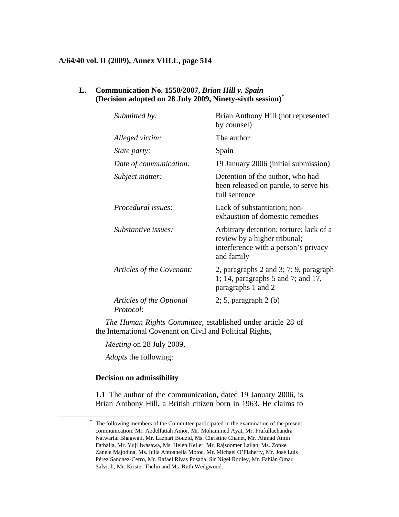#### **A/64/40 vol. II (2009), Annex VIII.L, page 514**

# **L. Communication No. 1550/2007,** *Brian Hill v. Spain*  **(Decision adopted on 28 July 2009, Ninety-sixth session)**\*

| Submitted by:                                | Brian Anthony Hill (not represented<br>by counsel)                                                                            |
|----------------------------------------------|-------------------------------------------------------------------------------------------------------------------------------|
| Alleged victim:                              | The author                                                                                                                    |
| <i>State party:</i>                          | Spain                                                                                                                         |
| Date of communication:                       | 19 January 2006 (initial submission)                                                                                          |
| Subject matter:                              | Detention of the author, who had<br>been released on parole, to serve his<br>full sentence                                    |
| <i>Procedural issues:</i>                    | Lack of substantiation; non-<br>exhaustion of domestic remedies                                                               |
| Substantive issues:                          | Arbitrary detention; torture; lack of a<br>review by a higher tribunal;<br>interference with a person's privacy<br>and family |
| Articles of the Covenant:                    | 2, paragraphs 2 and 3; 7; 9, paragraph<br>1; 14, paragraphs $5$ and $7$ ; and $17$ ,<br>paragraphs 1 and 2                    |
| Articles of the Optional<br><i>Protocol:</i> | $2; 5$ , paragraph $2(b)$                                                                                                     |

*The Human Rights Committee*, established under article 28 of the International Covenant on Civil and Political Rights,

*Meeting* on 28 July 2009,

*Adopts* the following:

#### **Decision on admissibility**

1.1 The author of the communication, dated 19 January 2006, is Brian Anthony Hill, a British citizen born in 1963. He claims to

The following members of the Committee participated in the examination of the present communication: Mr. Abdelfattah Amor, Mr. Mohammed Ayat, Mr. Prafullachandra Natwarlal Bhagwati, Mr. Lazhari Bouzid, Ms. Christine Chanet, Mr. Ahmad Amin Fathalla, Mr. Yuji Iwasawa, Ms. Helen Keller, Mr. Rajsoomer Lallah, Ms. Zonke Zanele Majodina, Ms. Iulia Antoanella Motoc, Mr. Michael O'Flaherty, Mr. José Luis Pérez Sanchez-Cerro, Mr. Rafael Rivas Posada, Sir Nigel Rodley, Mr. Fabián Omar Salvioli, Mr. Krister Thelin and Ms. Ruth Wedgwood.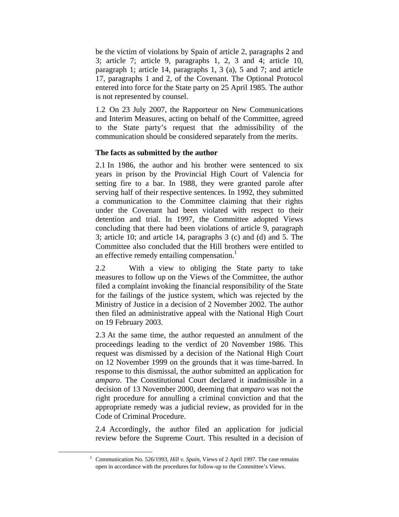be the victim of violations by Spain of article 2, paragraphs 2 and 3; article 7; article 9, paragraphs 1, 2, 3 and 4; article 10, paragraph 1; article 14, paragraphs 1, 3 (a), 5 and 7; and article 17, paragraphs 1 and 2, of the Covenant. The Optional Protocol entered into force for the State party on 25 April 1985. The author is not represented by counsel.

1.2 On 23 July 2007, the Rapporteur on New Communications and Interim Measures, acting on behalf of the Committee, agreed to the State party's request that the admissibility of the communication should be considered separately from the merits.

## **The facts as submitted by the author**

2.1 In 1986, the author and his brother were sentenced to six years in prison by the Provincial High Court of Valencia for setting fire to a bar. In 1988, they were granted parole after serving half of their respective sentences. In 1992, they submitted a communication to the Committee claiming that their rights under the Covenant had been violated with respect to their detention and trial. In 1997, the Committee adopted Views concluding that there had been violations of article 9, paragraph 3; article 10; and article 14, paragraphs 3 (c) and (d) and 5. The Committee also concluded that the Hill brothers were entitled to an effective remedy entailing compensation.<sup>1</sup>

2.2 With a view to obliging the State party to take measures to follow up on the Views of the Committee, the author filed a complaint invoking the financial responsibility of the State for the failings of the justice system, which was rejected by the Ministry of Justice in a decision of 2 November 2002. The author then filed an administrative appeal with the National High Court on 19 February 2003.

2.3 At the same time, the author requested an annulment of the proceedings leading to the verdict of 20 November 1986. This request was dismissed by a decision of the National High Court on 12 November 1999 on the grounds that it was time-barred. In response to this dismissal, the author submitted an application for *amparo*. The Constitutional Court declared it inadmissible in a decision of 13 November 2000, deeming that *amparo* was not the right procedure for annulling a criminal conviction and that the appropriate remedy was a judicial review, as provided for in the Code of Criminal Procedure.

2.4 Accordingly, the author filed an application for judicial review before the Supreme Court. This resulted in a decision of

<sup>&</sup>lt;u>1</u> <sup>1</sup> Communication No. 526/1993, *Hill v. Spain*, Views of 2 April 1997. The case remains open in accordance with the procedures for follow-up to the Committee's Views.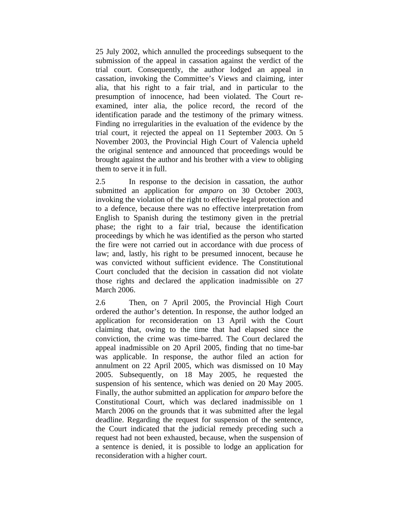25 July 2002, which annulled the proceedings subsequent to the submission of the appeal in cassation against the verdict of the trial court. Consequently, the author lodged an appeal in cassation, invoking the Committee's Views and claiming, inter alia, that his right to a fair trial, and in particular to the presumption of innocence, had been violated. The Court reexamined, inter alia, the police record, the record of the identification parade and the testimony of the primary witness. Finding no irregularities in the evaluation of the evidence by the trial court, it rejected the appeal on 11 September 2003. On 5 November 2003, the Provincial High Court of Valencia upheld the original sentence and announced that proceedings would be brought against the author and his brother with a view to obliging them to serve it in full.

2.5 In response to the decision in cassation, the author submitted an application for *amparo* on 30 October 2003, invoking the violation of the right to effective legal protection and to a defence, because there was no effective interpretation from English to Spanish during the testimony given in the pretrial phase; the right to a fair trial, because the identification proceedings by which he was identified as the person who started the fire were not carried out in accordance with due process of law; and, lastly, his right to be presumed innocent, because he was convicted without sufficient evidence. The Constitutional Court concluded that the decision in cassation did not violate those rights and declared the application inadmissible on 27 March 2006.

2.6 Then, on 7 April 2005, the Provincial High Court ordered the author's detention. In response, the author lodged an application for reconsideration on 13 April with the Court claiming that, owing to the time that had elapsed since the conviction, the crime was time-barred. The Court declared the appeal inadmissible on 20 April 2005, finding that no time-bar was applicable. In response, the author filed an action for annulment on 22 April 2005, which was dismissed on 10 May 2005. Subsequently, on 18 May 2005, he requested the suspension of his sentence, which was denied on 20 May 2005. Finally, the author submitted an application for *amparo* before the Constitutional Court, which was declared inadmissible on 1 March 2006 on the grounds that it was submitted after the legal deadline. Regarding the request for suspension of the sentence, the Court indicated that the judicial remedy preceding such a request had not been exhausted, because, when the suspension of a sentence is denied, it is possible to lodge an application for reconsideration with a higher court.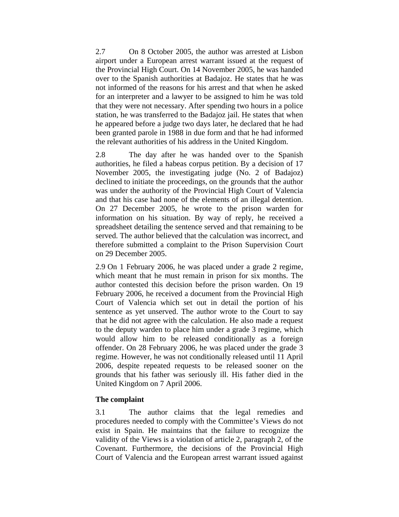2.7 On 8 October 2005, the author was arrested at Lisbon airport under a European arrest warrant issued at the request of the Provincial High Court. On 14 November 2005, he was handed over to the Spanish authorities at Badajoz. He states that he was not informed of the reasons for his arrest and that when he asked for an interpreter and a lawyer to be assigned to him he was told that they were not necessary. After spending two hours in a police station, he was transferred to the Badajoz jail. He states that when he appeared before a judge two days later, he declared that he had been granted parole in 1988 in due form and that he had informed the relevant authorities of his address in the United Kingdom.

2.8 The day after he was handed over to the Spanish authorities, he filed a habeas corpus petition. By a decision of 17 November 2005, the investigating judge (No. 2 of Badajoz) declined to initiate the proceedings, on the grounds that the author was under the authority of the Provincial High Court of Valencia and that his case had none of the elements of an illegal detention. On 27 December 2005, he wrote to the prison warden for information on his situation. By way of reply, he received a spreadsheet detailing the sentence served and that remaining to be served. The author believed that the calculation was incorrect, and therefore submitted a complaint to the Prison Supervision Court on 29 December 2005.

2.9 On 1 February 2006, he was placed under a grade 2 regime, which meant that he must remain in prison for six months. The author contested this decision before the prison warden. On 19 February 2006, he received a document from the Provincial High Court of Valencia which set out in detail the portion of his sentence as yet unserved. The author wrote to the Court to say that he did not agree with the calculation. He also made a request to the deputy warden to place him under a grade 3 regime, which would allow him to be released conditionally as a foreign offender. On 28 February 2006, he was placed under the grade 3 regime. However, he was not conditionally released until 11 April 2006, despite repeated requests to be released sooner on the grounds that his father was seriously ill. His father died in the United Kingdom on 7 April 2006.

## **The complaint**

3.1 The author claims that the legal remedies and procedures needed to comply with the Committee's Views do not exist in Spain. He maintains that the failure to recognize the validity of the Views is a violation of article 2, paragraph 2, of the Covenant. Furthermore, the decisions of the Provincial High Court of Valencia and the European arrest warrant issued against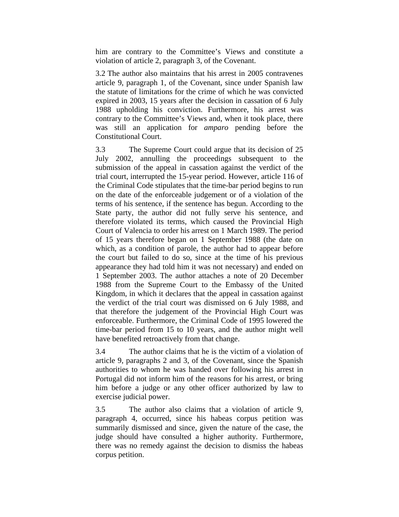him are contrary to the Committee's Views and constitute a violation of article 2, paragraph 3, of the Covenant.

3.2 The author also maintains that his arrest in 2005 contravenes article 9, paragraph 1, of the Covenant, since under Spanish law the statute of limitations for the crime of which he was convicted expired in 2003, 15 years after the decision in cassation of 6 July 1988 upholding his conviction. Furthermore, his arrest was contrary to the Committee's Views and, when it took place, there was still an application for *amparo* pending before the Constitutional Court.

3.3 The Supreme Court could argue that its decision of 25 July 2002, annulling the proceedings subsequent to the submission of the appeal in cassation against the verdict of the trial court, interrupted the 15-year period. However, article 116 of the Criminal Code stipulates that the time-bar period begins to run on the date of the enforceable judgement or of a violation of the terms of his sentence, if the sentence has begun. According to the State party, the author did not fully serve his sentence, and therefore violated its terms, which caused the Provincial High Court of Valencia to order his arrest on 1 March 1989. The period of 15 years therefore began on 1 September 1988 (the date on which, as a condition of parole, the author had to appear before the court but failed to do so, since at the time of his previous appearance they had told him it was not necessary) and ended on 1 September 2003. The author attaches a note of 20 December 1988 from the Supreme Court to the Embassy of the United Kingdom, in which it declares that the appeal in cassation against the verdict of the trial court was dismissed on 6 July 1988, and that therefore the judgement of the Provincial High Court was enforceable. Furthermore, the Criminal Code of 1995 lowered the time-bar period from 15 to 10 years, and the author might well have benefited retroactively from that change.

3.4 The author claims that he is the victim of a violation of article 9, paragraphs 2 and 3, of the Covenant, since the Spanish authorities to whom he was handed over following his arrest in Portugal did not inform him of the reasons for his arrest, or bring him before a judge or any other officer authorized by law to exercise judicial power.

3.5 The author also claims that a violation of article 9, paragraph 4, occurred, since his habeas corpus petition was summarily dismissed and since, given the nature of the case, the judge should have consulted a higher authority. Furthermore, there was no remedy against the decision to dismiss the habeas corpus petition.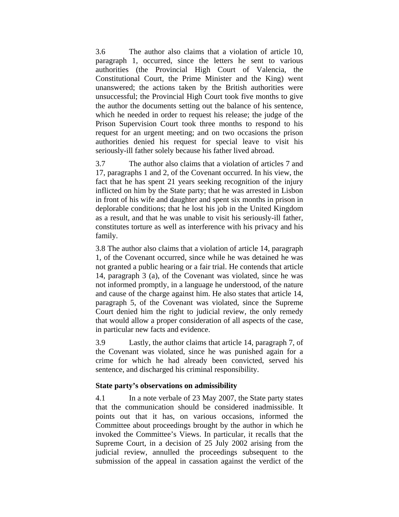3.6 The author also claims that a violation of article 10, paragraph 1, occurred, since the letters he sent to various authorities (the Provincial High Court of Valencia, the Constitutional Court, the Prime Minister and the King) went unanswered; the actions taken by the British authorities were unsuccessful; the Provincial High Court took five months to give the author the documents setting out the balance of his sentence, which he needed in order to request his release; the judge of the Prison Supervision Court took three months to respond to his request for an urgent meeting; and on two occasions the prison authorities denied his request for special leave to visit his seriously-ill father solely because his father lived abroad.

3.7 The author also claims that a violation of articles 7 and 17, paragraphs 1 and 2, of the Covenant occurred. In his view, the fact that he has spent 21 years seeking recognition of the injury inflicted on him by the State party; that he was arrested in Lisbon in front of his wife and daughter and spent six months in prison in deplorable conditions; that he lost his job in the United Kingdom as a result, and that he was unable to visit his seriously-ill father, constitutes torture as well as interference with his privacy and his family.

3.8 The author also claims that a violation of article 14, paragraph 1, of the Covenant occurred, since while he was detained he was not granted a public hearing or a fair trial. He contends that article 14, paragraph 3 (a), of the Covenant was violated, since he was not informed promptly, in a language he understood, of the nature and cause of the charge against him. He also states that article 14, paragraph 5, of the Covenant was violated, since the Supreme Court denied him the right to judicial review, the only remedy that would allow a proper consideration of all aspects of the case, in particular new facts and evidence.

3.9 Lastly, the author claims that article 14, paragraph 7, of the Covenant was violated, since he was punished again for a crime for which he had already been convicted, served his sentence, and discharged his criminal responsibility.

## **State party's observations on admissibility**

4.1 In a note verbale of 23 May 2007, the State party states that the communication should be considered inadmissible. It points out that it has, on various occasions, informed the Committee about proceedings brought by the author in which he invoked the Committee's Views. In particular, it recalls that the Supreme Court, in a decision of 25 July 2002 arising from the judicial review, annulled the proceedings subsequent to the submission of the appeal in cassation against the verdict of the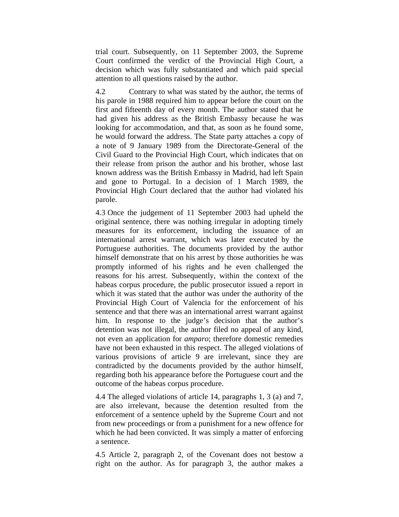trial court. Subsequently, on 11 September 2003, the Supreme Court confirmed the verdict of the Provincial High Court, a decision which was fully substantiated and which paid special attention to all questions raised by the author.

4.2 Contrary to what was stated by the author, the terms of his parole in 1988 required him to appear before the court on the first and fifteenth day of every month. The author stated that he had given his address as the British Embassy because he was looking for accommodation, and that, as soon as he found some, he would forward the address. The State party attaches a copy of a note of 9 January 1989 from the Directorate-General of the Civil Guard to the Provincial High Court, which indicates that on their release from prison the author and his brother, whose last known address was the British Embassy in Madrid, had left Spain and gone to Portugal. In a decision of 1 March 1989, the Provincial High Court declared that the author had violated his parole.

4.3 Once the judgement of 11 September 2003 had upheld the original sentence, there was nothing irregular in adopting timely measures for its enforcement, including the issuance of an international arrest warrant, which was later executed by the Portuguese authorities. The documents provided by the author himself demonstrate that on his arrest by those authorities he was promptly informed of his rights and he even challenged the reasons for his arrest. Subsequently, within the context of the habeas corpus procedure, the public prosecutor issued a report in which it was stated that the author was under the authority of the Provincial High Court of Valencia for the enforcement of his sentence and that there was an international arrest warrant against him. In response to the judge's decision that the author's detention was not illegal, the author filed no appeal of any kind, not even an application for *amparo*; therefore domestic remedies have not been exhausted in this respect. The alleged violations of various provisions of article 9 are irrelevant, since they are contradicted by the documents provided by the author himself, regarding both his appearance before the Portuguese court and the outcome of the habeas corpus procedure.

4.4 The alleged violations of article 14, paragraphs 1, 3 (a) and 7, are also irrelevant, because the detention resulted from the enforcement of a sentence upheld by the Supreme Court and not from new proceedings or from a punishment for a new offence for which he had been convicted. It was simply a matter of enforcing a sentence.

4.5 Article 2, paragraph 2, of the Covenant does not bestow a right on the author. As for paragraph 3, the author makes a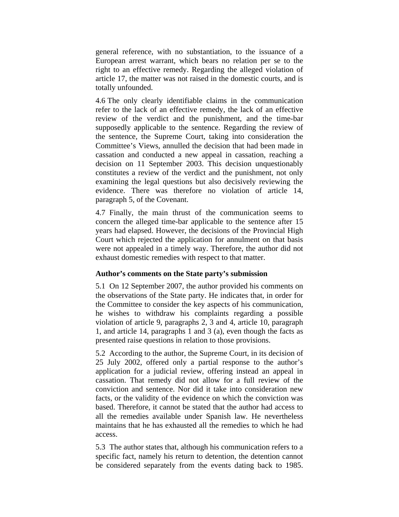general reference, with no substantiation, to the issuance of a European arrest warrant, which bears no relation per se to the right to an effective remedy. Regarding the alleged violation of article 17, the matter was not raised in the domestic courts, and is totally unfounded.

4.6 The only clearly identifiable claims in the communication refer to the lack of an effective remedy, the lack of an effective review of the verdict and the punishment, and the time-bar supposedly applicable to the sentence. Regarding the review of the sentence, the Supreme Court, taking into consideration the Committee's Views, annulled the decision that had been made in cassation and conducted a new appeal in cassation, reaching a decision on 11 September 2003. This decision unquestionably constitutes a review of the verdict and the punishment, not only examining the legal questions but also decisively reviewing the evidence. There was therefore no violation of article 14, paragraph 5, of the Covenant.

4.7 Finally, the main thrust of the communication seems to concern the alleged time-bar applicable to the sentence after 15 years had elapsed. However, the decisions of the Provincial High Court which rejected the application for annulment on that basis were not appealed in a timely way. Therefore, the author did not exhaust domestic remedies with respect to that matter.

## **Author's comments on the State party's submission**

5.1 On 12 September 2007, the author provided his comments on the observations of the State party. He indicates that, in order for the Committee to consider the key aspects of his communication, he wishes to withdraw his complaints regarding a possible violation of article 9, paragraphs 2, 3 and 4, article 10, paragraph 1, and article 14, paragraphs 1 and 3 (a), even though the facts as presented raise questions in relation to those provisions.

5.2 According to the author, the Supreme Court, in its decision of 25 July 2002, offered only a partial response to the author's application for a judicial review, offering instead an appeal in cassation. That remedy did not allow for a full review of the conviction and sentence. Nor did it take into consideration new facts, or the validity of the evidence on which the conviction was based. Therefore, it cannot be stated that the author had access to all the remedies available under Spanish law. He nevertheless maintains that he has exhausted all the remedies to which he had access.

5.3 The author states that, although his communication refers to a specific fact, namely his return to detention, the detention cannot be considered separately from the events dating back to 1985.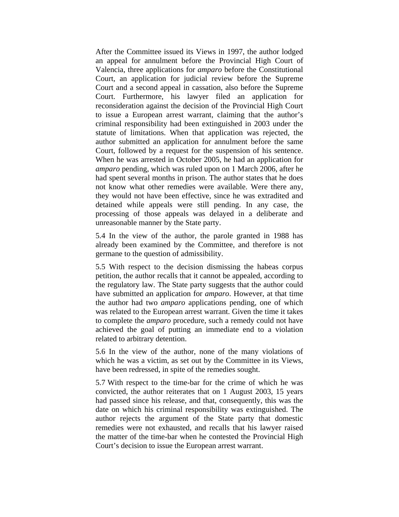After the Committee issued its Views in 1997, the author lodged an appeal for annulment before the Provincial High Court of Valencia, three applications for *amparo* before the Constitutional Court, an application for judicial review before the Supreme Court and a second appeal in cassation, also before the Supreme Court. Furthermore, his lawyer filed an application for reconsideration against the decision of the Provincial High Court to issue a European arrest warrant, claiming that the author's criminal responsibility had been extinguished in 2003 under the statute of limitations. When that application was rejected, the author submitted an application for annulment before the same Court, followed by a request for the suspension of his sentence. When he was arrested in October 2005, he had an application for *amparo* pending, which was ruled upon on 1 March 2006, after he had spent several months in prison. The author states that he does not know what other remedies were available. Were there any, they would not have been effective, since he was extradited and detained while appeals were still pending. In any case, the processing of those appeals was delayed in a deliberate and unreasonable manner by the State party.

5.4 In the view of the author, the parole granted in 1988 has already been examined by the Committee, and therefore is not germane to the question of admissibility.

5.5 With respect to the decision dismissing the habeas corpus petition, the author recalls that it cannot be appealed, according to the regulatory law. The State party suggests that the author could have submitted an application for *amparo*. However, at that time the author had two *amparo* applications pending, one of which was related to the European arrest warrant. Given the time it takes to complete the *amparo* procedure, such a remedy could not have achieved the goal of putting an immediate end to a violation related to arbitrary detention.

5.6 In the view of the author, none of the many violations of which he was a victim, as set out by the Committee in its Views, have been redressed, in spite of the remedies sought.

5.7 With respect to the time-bar for the crime of which he was convicted, the author reiterates that on 1 August 2003, 15 years had passed since his release, and that, consequently, this was the date on which his criminal responsibility was extinguished. The author rejects the argument of the State party that domestic remedies were not exhausted, and recalls that his lawyer raised the matter of the time-bar when he contested the Provincial High Court's decision to issue the European arrest warrant.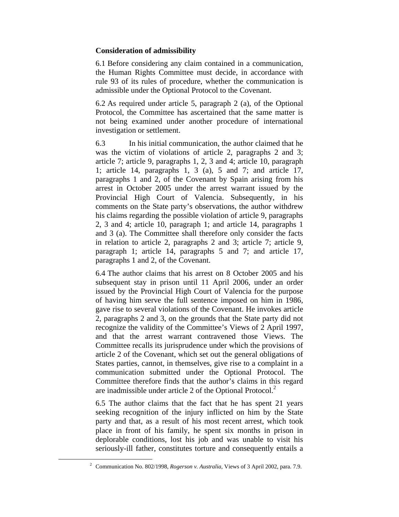## **Consideration of admissibility**

6.1 Before considering any claim contained in a communication, the Human Rights Committee must decide, in accordance with rule 93 of its rules of procedure, whether the communication is admissible under the Optional Protocol to the Covenant.

6.2 As required under article 5, paragraph 2 (a), of the Optional Protocol, the Committee has ascertained that the same matter is not being examined under another procedure of international investigation or settlement.

6.3 In his initial communication, the author claimed that he was the victim of violations of article 2, paragraphs 2 and 3; article 7; article 9, paragraphs 1, 2, 3 and 4; article 10, paragraph 1; article 14, paragraphs 1, 3 (a), 5 and 7; and article 17, paragraphs 1 and 2, of the Covenant by Spain arising from his arrest in October 2005 under the arrest warrant issued by the Provincial High Court of Valencia. Subsequently, in his comments on the State party's observations, the author withdrew his claims regarding the possible violation of article 9, paragraphs 2, 3 and 4; article 10, paragraph 1; and article 14, paragraphs 1 and 3 (a). The Committee shall therefore only consider the facts in relation to article 2, paragraphs 2 and 3; article 7; article 9, paragraph 1; article 14, paragraphs 5 and 7; and article 17, paragraphs 1 and 2, of the Covenant.

6.4 The author claims that his arrest on 8 October 2005 and his subsequent stay in prison until 11 April 2006, under an order issued by the Provincial High Court of Valencia for the purpose of having him serve the full sentence imposed on him in 1986, gave rise to several violations of the Covenant. He invokes article 2, paragraphs 2 and 3, on the grounds that the State party did not recognize the validity of the Committee's Views of 2 April 1997, and that the arrest warrant contravened those Views. The Committee recalls its jurisprudence under which the provisions of article 2 of the Covenant, which set out the general obligations of States parties, cannot, in themselves, give rise to a complaint in a communication submitted under the Optional Protocol. The Committee therefore finds that the author's claims in this regard are inadmissible under article 2 of the Optional Protocol. $2$ 

6.5 The author claims that the fact that he has spent 21 years seeking recognition of the injury inflicted on him by the State party and that, as a result of his most recent arrest, which took place in front of his family, he spent six months in prison in deplorable conditions, lost his job and was unable to visit his seriously-ill father, constitutes torture and consequently entails a

 <sup>2</sup> <sup>2</sup> Communication No. 802/1998, *Rogerson v. Australia*, Views of 3 April 2002, para. 7.9.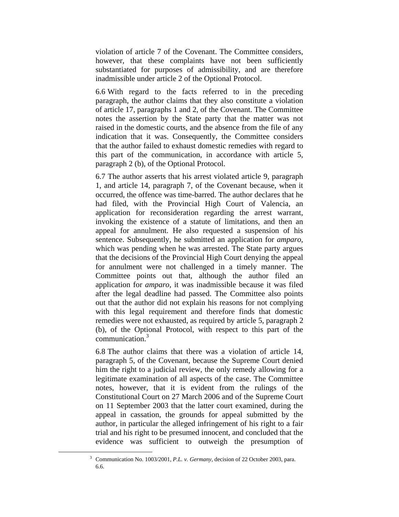violation of article 7 of the Covenant. The Committee considers, however, that these complaints have not been sufficiently substantiated for purposes of admissibility, and are therefore inadmissible under article 2 of the Optional Protocol.

6.6 With regard to the facts referred to in the preceding paragraph, the author claims that they also constitute a violation of article 17, paragraphs 1 and 2, of the Covenant. The Committee notes the assertion by the State party that the matter was not raised in the domestic courts, and the absence from the file of any indication that it was. Consequently, the Committee considers that the author failed to exhaust domestic remedies with regard to this part of the communication, in accordance with article 5, paragraph 2 (b), of the Optional Protocol.

6.7 The author asserts that his arrest violated article 9, paragraph 1, and article 14, paragraph 7, of the Covenant because, when it occurred, the offence was time-barred. The author declares that he had filed, with the Provincial High Court of Valencia, an application for reconsideration regarding the arrest warrant, invoking the existence of a statute of limitations, and then an appeal for annulment. He also requested a suspension of his sentence. Subsequently, he submitted an application for *amparo*, which was pending when he was arrested. The State party argues that the decisions of the Provincial High Court denying the appeal for annulment were not challenged in a timely manner. The Committee points out that, although the author filed an application for *amparo*, it was inadmissible because it was filed after the legal deadline had passed. The Committee also points out that the author did not explain his reasons for not complying with this legal requirement and therefore finds that domestic remedies were not exhausted, as required by article 5, paragraph 2 (b), of the Optional Protocol, with respect to this part of the communication.3

6.8 The author claims that there was a violation of article 14, paragraph 5, of the Covenant, because the Supreme Court denied him the right to a judicial review, the only remedy allowing for a legitimate examination of all aspects of the case. The Committee notes, however, that it is evident from the rulings of the Constitutional Court on 27 March 2006 and of the Supreme Court on 11 September 2003 that the latter court examined, during the appeal in cassation, the grounds for appeal submitted by the author, in particular the alleged infringement of his right to a fair trial and his right to be presumed innocent, and concluded that the evidence was sufficient to outweigh the presumption of

 <sup>3</sup> Communication No. 1003/2001, *P.L. v. Germany*, decision of 22 October 2003, para. 6.6.